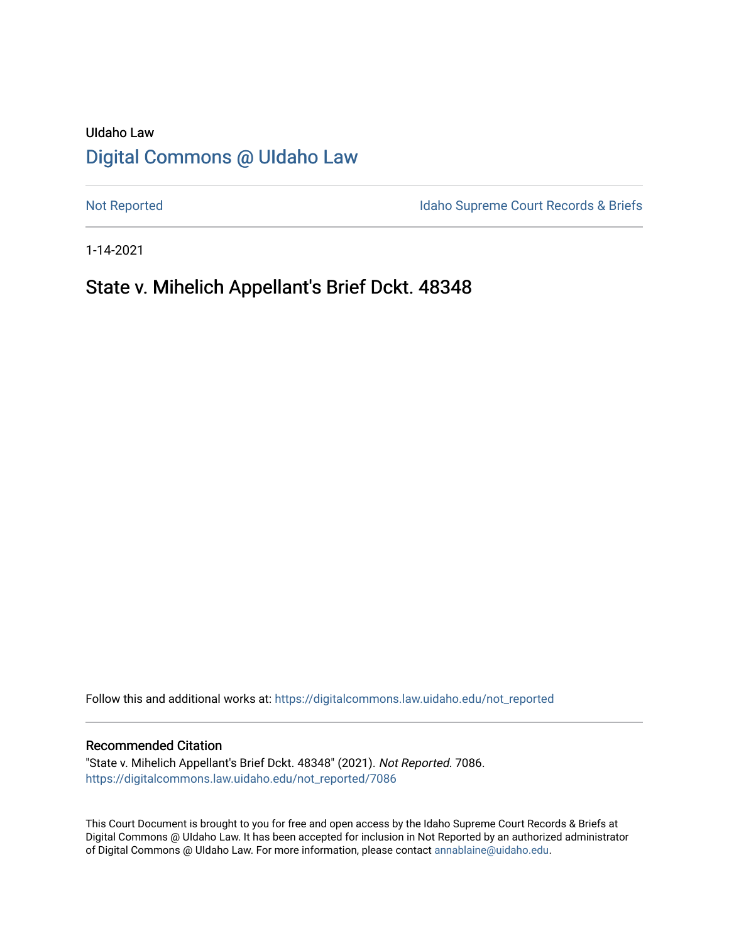# UIdaho Law [Digital Commons @ UIdaho Law](https://digitalcommons.law.uidaho.edu/)

[Not Reported](https://digitalcommons.law.uidaho.edu/not_reported) **Idaho Supreme Court Records & Briefs** 

1-14-2021

## State v. Mihelich Appellant's Brief Dckt. 48348

Follow this and additional works at: [https://digitalcommons.law.uidaho.edu/not\\_reported](https://digitalcommons.law.uidaho.edu/not_reported?utm_source=digitalcommons.law.uidaho.edu%2Fnot_reported%2F7086&utm_medium=PDF&utm_campaign=PDFCoverPages) 

#### Recommended Citation

"State v. Mihelich Appellant's Brief Dckt. 48348" (2021). Not Reported. 7086. [https://digitalcommons.law.uidaho.edu/not\\_reported/7086](https://digitalcommons.law.uidaho.edu/not_reported/7086?utm_source=digitalcommons.law.uidaho.edu%2Fnot_reported%2F7086&utm_medium=PDF&utm_campaign=PDFCoverPages)

This Court Document is brought to you for free and open access by the Idaho Supreme Court Records & Briefs at Digital Commons @ UIdaho Law. It has been accepted for inclusion in Not Reported by an authorized administrator of Digital Commons @ UIdaho Law. For more information, please contact [annablaine@uidaho.edu](mailto:annablaine@uidaho.edu).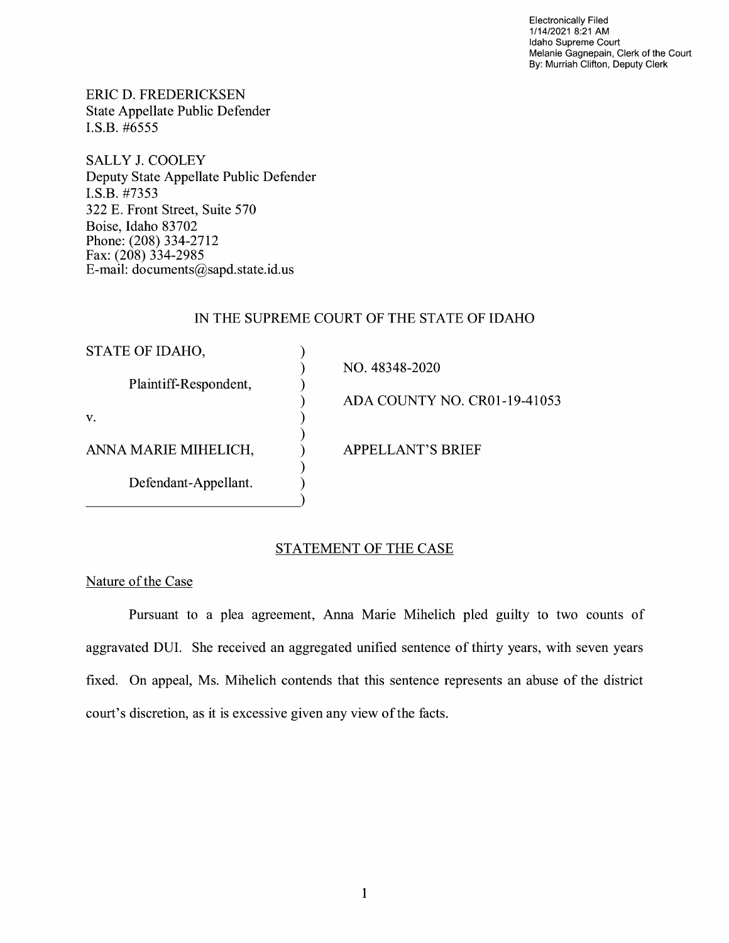Electronically Filed 1/14/2021 8:21 AM Idaho Supreme Court Melanie Gagnepain, Clerk of the Court By: Murriah Clifton, Deputy Clerk

ERIC D. FREDERICKSEN State Appellate Public Defender I.S.B. #6555

SALLY J. COOLEY Deputy State Appellate Public Defender I.S.B. #7353 322 E. Front Street, Suite 570 Boise, Idaho 83702 Phone: (208) 334-2712 Fax: (208) 334-2985 E-mail: documents@sapd.state.id. us

## IN THE SUPREME COURT OF THE STATE OF IDAHO

| STATE OF IDAHO,       |                              |
|-----------------------|------------------------------|
|                       | NO. 48348-2020               |
| Plaintiff-Respondent, |                              |
|                       | ADA COUNTY NO. CR01-19-41053 |
| V.                    |                              |
|                       |                              |
| ANNA MARIE MIHELICH,  | <b>APPELLANT'S BRIEF</b>     |
|                       |                              |
| Defendant-Appellant.  |                              |
|                       |                              |

## STATEMENT OF THE CASE

Nature of the Case

Pursuant to a plea agreement, Anna Marie Mihelich pied guilty to two counts of aggravated DUI. She received an aggregated unified sentence of thirty years, with seven years fixed. On appeal, Ms. Mihelich contends that this sentence represents an abuse of the district court's discretion, as it is excessive given any view of the facts.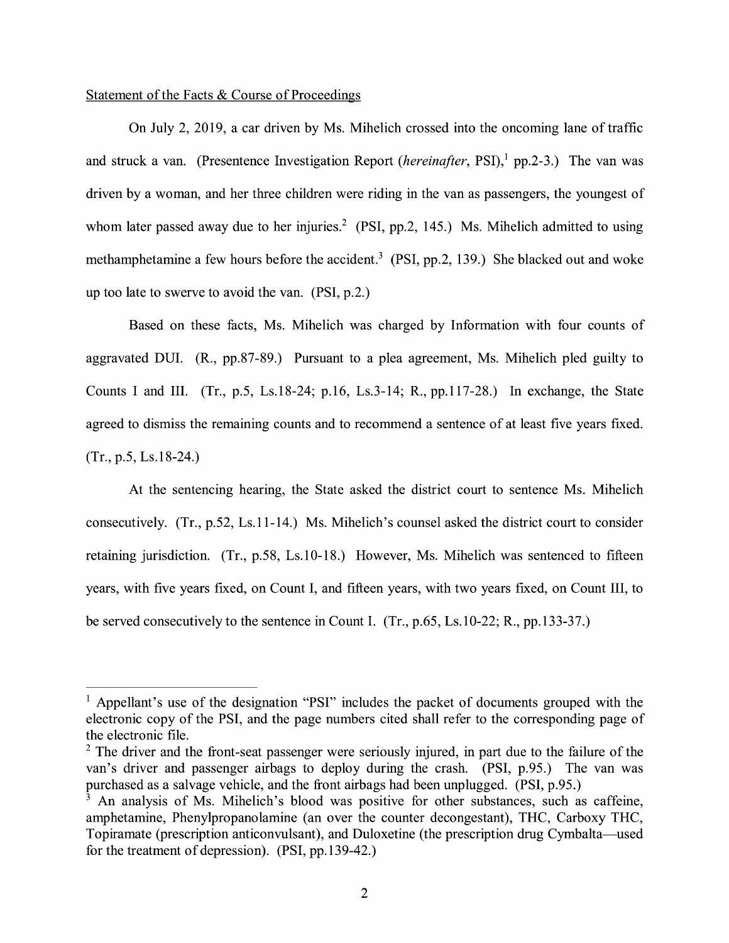## Statement of the Facts & Course of Proceedings

On July 2, 2019, a car driven by Ms. Mihelich crossed into the oncoming lane of traffic and struck a van. (Presentence Investigation Report *(hereinafter*, PSI),<sup>1</sup> pp.2-3.) The van was driven by a woman, and her three children were riding in the van as passengers, the youngest of whom later passed away due to her injuries.<sup>2</sup> (PSI, pp.2, 145.) Ms. Mihelich admitted to using methamphetamine a few hours before the accident.<sup>3</sup> (PSI, pp.2, 139.) She blacked out and woke up too late to swerve to avoid the van. (PSI, p.2.)

Based on these facts, Ms. Mihelich was charged by Information with four counts of aggravated DUI. (R., pp.87-89.) Pursuant to a plea agreement, Ms. Mihelich pled guilty to Counts I and III. (Tr., p.5, Ls.18-24; p.16, Ls.3-14; R., pp.117-28.) In exchange, the State agreed to dismiss the remaining counts and to recommend a sentence of at least five years fixed. (Tr., p.5, Ls.18-24.)

At the sentencing hearing, the State asked the district court to sentence Ms. Mihelich consecutively. (Tr., p.52, Ls.11-14.) Ms. Mihelich's counsel asked the district court to consider retaining jurisdiction. (Tr., p.58, Ls.10-18.) However, Ms. Mihelich was sentenced to fifteen years, with five years fixed, on Count I, and fifteen years, with two years fixed, on Count III, to be served consecutively to the sentence in Count I. (Tr., p.65, Ls.10-22; R., pp.133-37.)

<sup>&</sup>lt;sup>1</sup> Appellant's use of the designation "PSI" includes the packet of documents grouped with the electronic copy of the PSI, and the page numbers cited shall refer to the corresponding page of the electronic file.

 $2$  The driver and the front-seat passenger were seriously injured, in part due to the failure of the van's driver and passenger airbags to deploy during the crash. (PSI, p.95.) The van was purchased as a salvage vehicle, and the front airbags had been unplugged. (PSI, p.95.)

 $\frac{3}{3}$  An analysis of Ms. Mihelich's blood was positive for other substances, such as caffeine, amphetamine, Phenylpropanolamine (an over the counter decongestant), THC, Carboxy THC, Topiramate (prescription anticonvulsant), and Duloxetine (the prescription drug Cymbalta-used for the treatment of depression). (PSI, pp.139-42.)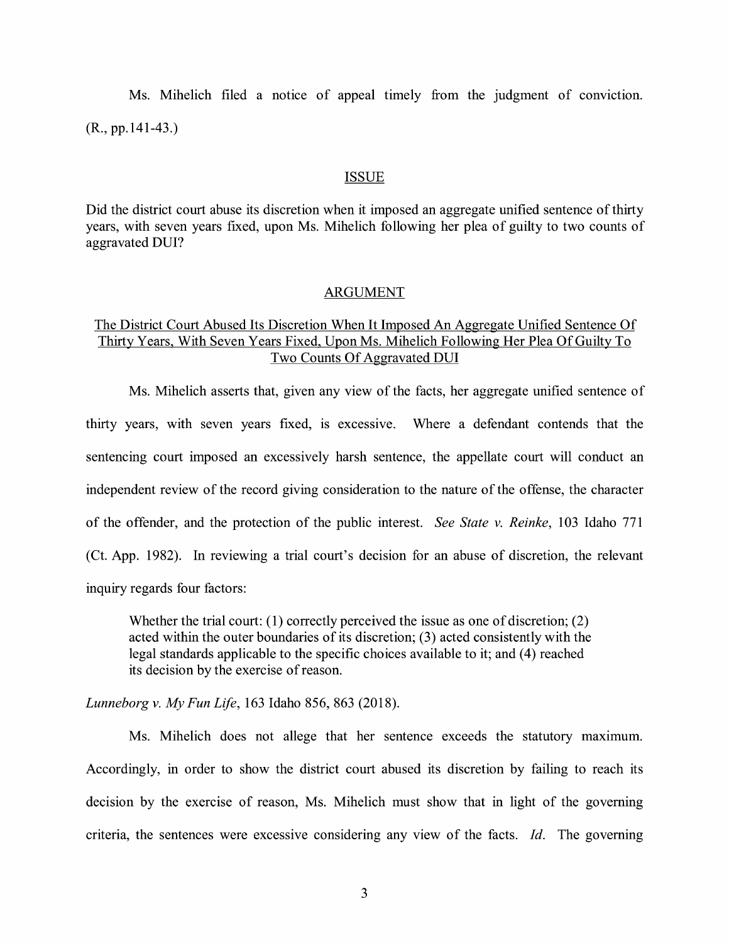Ms. Mihelich filed a notice of appeal timely from the judgment of conviction.  $(R., pp.141-43.)$ 

#### **ISSUE**

Did the district court abuse its discretion when it imposed an aggregate unified sentence of thirty years, with seven years fixed, upon Ms. Mihelich following her plea of guilty to two counts of aggravated DUI?

#### ARGUMENT

## The District Court Abused Its Discretion When It Imposed An Aggregate Unified Sentence Of Thirty Years, With Seven Years Fixed, Upon Ms. Mihelich Following Her Plea Of Guilty To Two Counts Of Aggravated DUI

Ms. Mihelich asserts that, given any view of the facts, her aggregate unified sentence of thirty years, with seven years fixed, is excessive. Where a defendant contends that the sentencing court imposed an excessively harsh sentence, the appellate court will conduct an independent review of the record giving consideration to the nature of the offense, the character of the offender, and the protection of the public interest. *See State v. Reinke,* 103 Idaho 771 (Ct. App. 1982). In reviewing a trial court's decision for an abuse of discretion, the relevant inquiry regards four factors:

Whether the trial court:  $(1)$  correctly perceived the issue as one of discretion;  $(2)$ acted within the outer boundaries of its discretion; (3) acted consistently with the legal standards applicable to the specific choices available to it; and (4) reached its decision by the exercise of reason.

*Lunneborg v. My Fun Life,* 163 Idaho 856, 863 (2018).

Ms. Mihelich does not allege that her sentence exceeds the statutory maximum. Accordingly, in order to show the district court abused its discretion by failing to reach its decision by the exercise of reason, Ms. Mihelich must show that in light of the governing criteria, the sentences were excessive considering any view of the facts. *Id.* The governing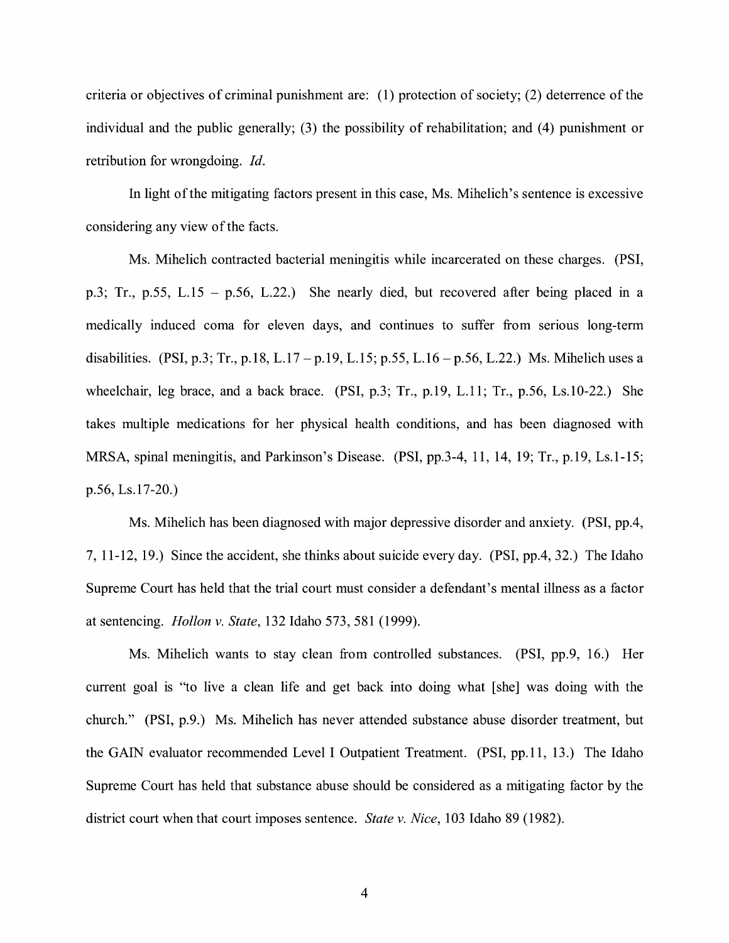criteria or objectives of criminal punishment are: (1) protection of society; (2) deterrence of the individual and the public generally; (3) the possibility of rehabilitation; and (4) punishment or retribution for wrongdoing. *Id.* 

In light of the mitigating factors present in this case, Ms. Mihelich's sentence is excessive considering any view of the facts.

Ms. Mihelich contracted bacterial meningitis while incarcerated on these charges. (PSI, p.3; Tr., p.55, L.15 - p.56, L.22.) She nearly died, but recovered after being placed in a medically induced coma for eleven days, and continues to suffer from serious long-term disabilities. (PSI, p.3; Tr., p.18, L.17 – p.19, L.15; p.55, L.16 – p.56, L.22.) Ms. Mihelich uses a wheelchair, leg brace, and a back brace. (PSI, p.3; Tr., p.19, L.11; Tr., p.56, Ls.10-22.) She takes multiple medications for her physical health conditions, and has been diagnosed with MRSA, spinal meningitis, and Parkinson's Disease. (PSI, pp.3-4, 11, 14, 19; Tr., p.19, Ls.1-15; p.56, Ls.17-20.)

Ms. Mihelich has been diagnosed with major depressive disorder and anxiety. (PSI, pp.4, 7, 11-12, 19.) Since the accident, she thinks about suicide every day. **(PSI,** pp.4, 32.) The Idaho Supreme Court has held that the trial court must consider a defendant's mental illness as a factor at sentencing. *Hollon v. State,* 132 Idaho 573, 581 (1999).

Ms. Mihelich wants to stay clean from controlled substances. **(PSI,** pp.9, 16.) Her current goal is "to live a clean life and get back into doing what [she] was doing with the church." (PSI, p.9.) Ms. Mihelich has never attended substance abuse disorder treatment, but the GAIN evaluator recommended Level I Outpatient Treatment. (PSI, pp.11, 13.) The Idaho Supreme Court has held that substance abuse should be considered as a mitigating factor by the district court when that court imposes sentence. *State v. Nice,* 103 Idaho 89 (1982).

4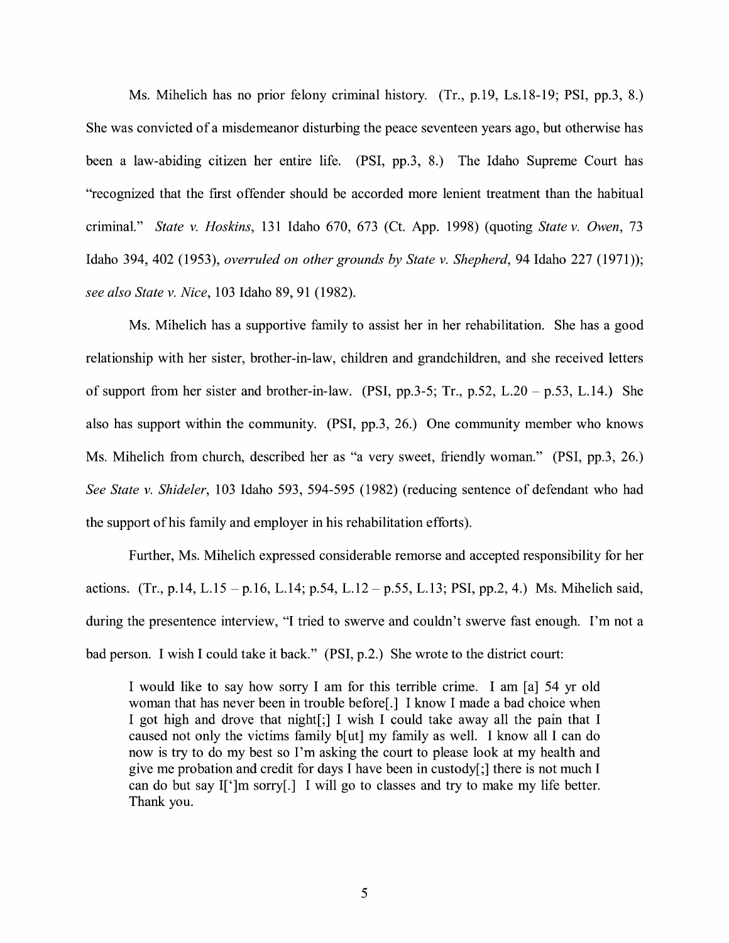Ms. Mihelich has no prior felony criminal history. (Tr., p.19, Ls.18-19; **PSI,** pp.3, 8.) She was convicted of a misdemeanor disturbing the peace seventeen years ago, but otherwise has been a law-abiding citizen her entire life. (PSI, pp.3, 8.) The Idaho Supreme Court has "recognized that the first offender should be accorded more lenient treatment than the habitual criminal." *State v. Hoskins,* 131 Idaho 670, 673 (Ct. App. 1998) (quoting *State v. Owen,* 73 Idaho 394, 402 (1953), *overruled on other grounds by State v. Shepherd,* 94 Idaho 227 (1971)); *see also State v. Nice,* 103 Idaho 89, 91 (1982).

Ms. Mihelich has a supportive family to assist her in her rehabilitation. She has a good relationship with her sister, brother-in-law, children and grandchildren, and she received letters of support from her sister and brother-in-law. (PSI, pp.3-5; Tr., p.52, L.20 – p.53, L.14.) She also has support within the community. (PSI, pp.3, 26.) One community member who knows Ms. Mihelich from church, described her as "a very sweet, friendly woman." (PSI, pp.3, 26.) *See State v. Shideler,* 103 Idaho 593, 594-595 (1982) (reducing sentence of defendant who had the support of his family and employer in his rehabilitation efforts).

Further, Ms. Mihelich expressed considerable remorse and accepted responsibility for her actions. (Tr., p.14, L.15 - p.16, L.14; p.54, L.12 - p.55, L.13; PSI, pp.2, 4.) Ms. Mihelich said, during the presentence interview, "I tried to swerve and couldn't swerve fast enough. I'm not a bad person. I wish I could take it back." (PSI, p.2.) She wrote to the district court:

I would like to say how sorry I am for this terrible crime. I am [a] 54 yr old woman that has never been in trouble before[.] I know I made a bad choice when I got high and drove that night[;] I wish I could take away all the pain that I caused not only the victims family b[ut] my family as well. I know all I can do now is try to do my best so I'm asking the court to please look at my health and give me probation and credit for days I have been in custody[;] there is not much I can do but say I[']m sorry[.] I will go to classes and try to make my life better. Thank you.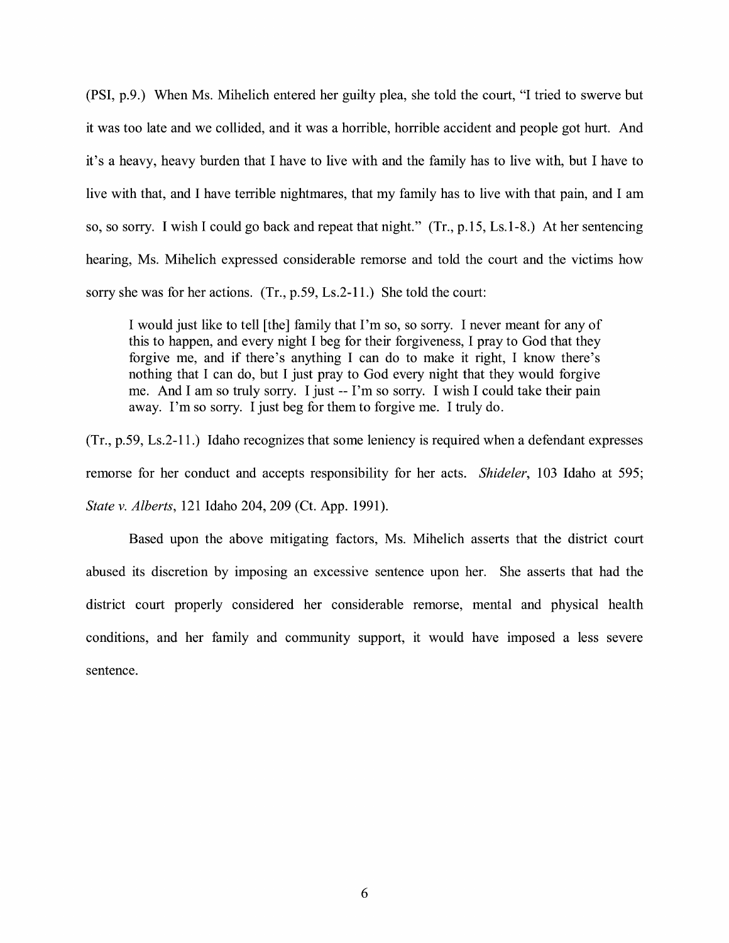(PSI, p.9.) When Ms. Mihelich entered her guilty plea, she told the court, "I tried to swerve but it was too late and we collided, and it was a horrible, horrible accident and people got hurt. And it's a heavy, heavy burden that I have to live with and the family has to live with, but I have to live with that, and I have terrible nightmares, that my family has to live with that pain, and I am so, so sorry. I wish I could go back and repeat that night." (Tr., p.15, Ls.1-8.) At her sentencing hearing, Ms. Mihelich expressed considerable remorse and told the court and the victims how sorry she was for her actions. (Tr., p.59, Ls.2-11.) She told the court:

I would just like to tell [the] family that I'm so, so sorry. I never meant for any of this to happen, and every night I beg for their forgiveness, I pray to God that they forgive me, and if there's anything I can do to make it right, I know there's nothing that I can do, but I just pray to God every night that they would forgive me. And I am so truly sorry. I just -- I'm so sorry. I wish I could take their pain away. I'm so sorry. I just beg for them to forgive me. I truly do.

(Tr., p.59, Ls.2-11.) Idaho recognizes that some leniency is required when a defendant expresses remorse for her conduct and accepts responsibility for her acts. *Shideler*, 103 Idaho at 595; *State v. Alberts,* 121 Idaho 204, 209 (Ct. App. 1991).

Based upon the above mitigating factors, Ms. Mihelich asserts that the district court abused its discretion by imposing an excessive sentence upon her. She asserts that had the district court properly considered her considerable remorse, mental and physical health conditions, and her family and community support, it would have imposed a less severe sentence.